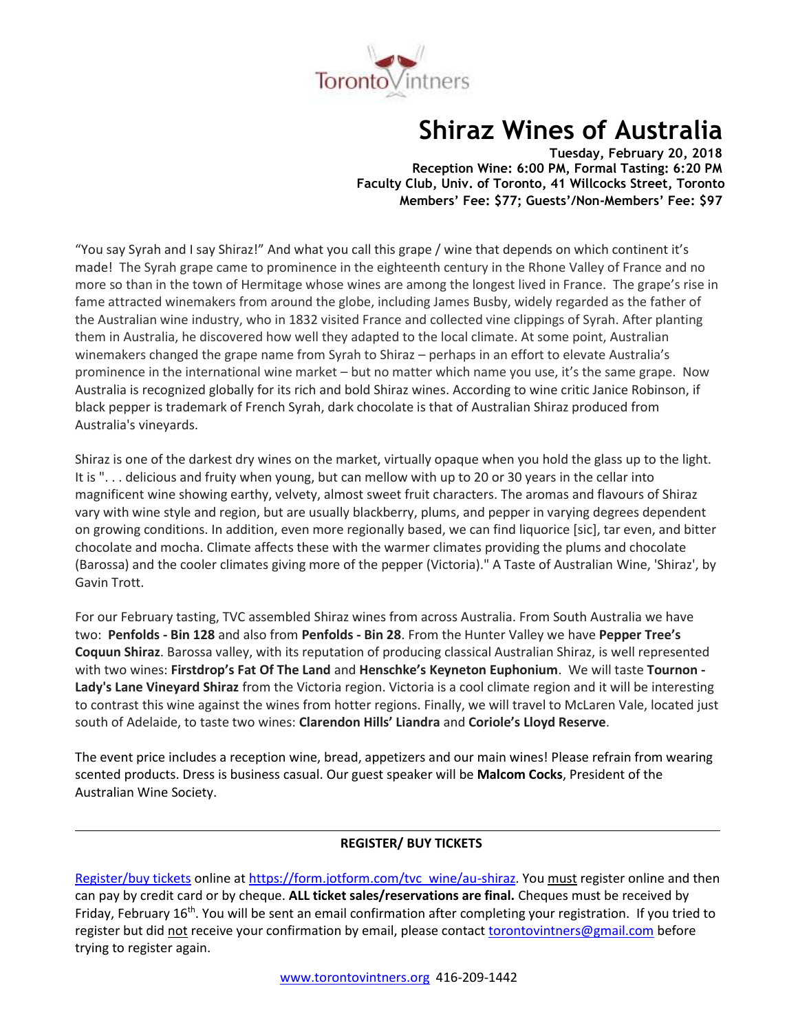

# **Shiraz Wines of Australia**

**Tuesday, February 20, 2018 Reception Wine: 6:00 PM, Formal Tasting: 6:20 PM Faculty Club, Univ. of Toronto, 41 Willcocks Street, Toronto Members' Fee: \$77; Guests'/Non-Members' Fee: \$97**

"You say Syrah and I say Shiraz!" And what you call this grape / wine that depends on which continent it's made! The Syrah grape came to prominence in the eighteenth century in the Rhone Valley of France and no more so than in the town of Hermitage whose wines are among the longest lived in France. The grape's rise in fame attracted winemakers from around the globe, including James Busby, widely regarded as the father of the Australian wine industry, who in 1832 visited France and collected vine clippings of Syrah. After planting them in Australia, he discovered how well they adapted to the local climate. At some point, Australian winemakers changed the grape name from Syrah to Shiraz – perhaps in an effort to elevate Australia's prominence in the international wine market – but no matter which name you use, it's the same grape. Now Australia is recognized globally for its rich and bold Shiraz wines. According to wine critic Janice Robinson, if black pepper is trademark of French Syrah, dark chocolate is that of Australian Shiraz produced from Australia's vineyards.

Shiraz is one of the darkest dry wines on the market, virtually opaque when you hold the glass up to the light. It is ". . . delicious and fruity when young, but can mellow with up to 20 or 30 years in the cellar into magnificent wine showing earthy, velvety, almost sweet fruit characters. The aromas and flavours of Shiraz vary with wine style and region, but are usually blackberry, plums, and pepper in varying degrees dependent on growing conditions. In addition, even more regionally based, we can find liquorice [sic], tar even, and bitter chocolate and mocha. Climate affects these with the warmer climates providing the plums and chocolate (Barossa) and the cooler climates giving more of the pepper (Victoria)." A Taste of Australian Wine, 'Shiraz', by Gavin Trott.

For our February tasting, TVC assembled Shiraz wines from across Australia. From South Australia we have two: **Penfolds - Bin 128** and also from **Penfolds - Bin 28**. From the Hunter Valley we have **Pepper Tree's Coquun Shiraz**. Barossa valley, with its reputation of producing classical Australian Shiraz, is well represented with two wines: **Firstdrop's Fat Of The Land** and **Henschke's Keyneton Euphonium**. We will taste **Tournon - Lady's Lane Vineyard Shiraz** from the Victoria region. Victoria is a cool climate region and it will be interesting to contrast this wine against the wines from hotter regions. Finally, we will travel to McLaren Vale, located just south of Adelaide, to taste two wines: **Clarendon Hills' Liandra** and **Coriole's Lloyd Reserve**.

The event price includes a reception wine, bread, appetizers and our main wines! Please refrain from wearing scented products. Dress is business casual. Our guest speaker will be **Malcom Cocks**, President of the Australian Wine Society.

# **REGISTER/ BUY TICKETS**

[Register/buy tickets](https://form.jotform.com/tvc_wine/au-shiraz) online at [https://form.jotform.com/tvc\\_wine/au-shiraz.](https://form.jotform.com/tvc_wine/au-shiraz) You must register online and then can pay by credit card or by cheque. **ALL ticket sales/reservations are final.** Cheques must be received by Friday, February 16<sup>th</sup>. You will be sent an email confirmation after completing your registration. If you tried to register but did not receive your confirmation by email, please contact [torontovintners@gmail.com](mailto:torontovintners@gmail.com) before trying to register again.